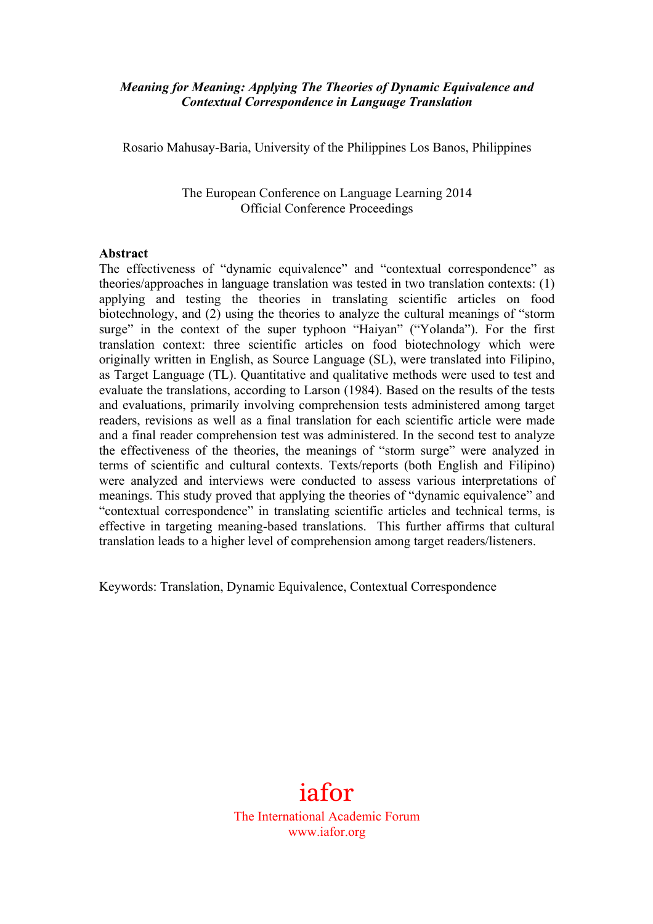### *Meaning for Meaning: Applying The Theories of Dynamic Equivalence and Contextual Correspondence in Language Translation*

Rosario Mahusay-Baria, University of the Philippines Los Banos, Philippines

The European Conference on Language Learning 2014 Official Conference Proceedings

#### **Abstract**

The effectiveness of "dynamic equivalence" and "contextual correspondence" as theories/approaches in language translation was tested in two translation contexts: (1) applying and testing the theories in translating scientific articles on food biotechnology, and (2) using the theories to analyze the cultural meanings of "storm surge" in the context of the super typhoon "Haiyan" ("Yolanda"). For the first translation context: three scientific articles on food biotechnology which were originally written in English, as Source Language (SL), were translated into Filipino, as Target Language (TL). Quantitative and qualitative methods were used to test and evaluate the translations, according to Larson (1984). Based on the results of the tests and evaluations, primarily involving comprehension tests administered among target readers, revisions as well as a final translation for each scientific article were made and a final reader comprehension test was administered. In the second test to analyze the effectiveness of the theories, the meanings of "storm surge" were analyzed in terms of scientific and cultural contexts. Texts/reports (both English and Filipino) were analyzed and interviews were conducted to assess various interpretations of meanings. This study proved that applying the theories of "dynamic equivalence" and "contextual correspondence" in translating scientific articles and technical terms, is effective in targeting meaning-based translations. This further affirms that cultural translation leads to a higher level of comprehension among target readers/listeners.

Keywords: Translation, Dynamic Equivalence, Contextual Correspondence

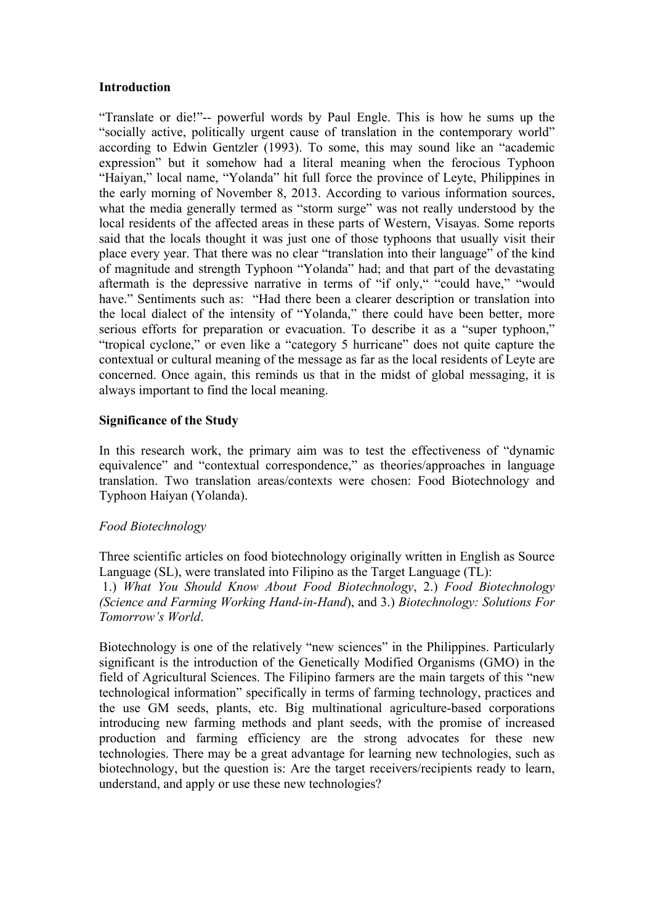### **Introduction**

"Translate or die!"-- powerful words by Paul Engle. This is how he sums up the "socially active, politically urgent cause of translation in the contemporary world" according to Edwin Gentzler (1993). To some, this may sound like an "academic expression" but it somehow had a literal meaning when the ferocious Typhoon "Haiyan," local name, "Yolanda" hit full force the province of Leyte, Philippines in the early morning of November 8, 2013. According to various information sources, what the media generally termed as "storm surge" was not really understood by the local residents of the affected areas in these parts of Western, Visayas. Some reports said that the locals thought it was just one of those typhoons that usually visit their place every year. That there was no clear "translation into their language" of the kind of magnitude and strength Typhoon "Yolanda" had; and that part of the devastating aftermath is the depressive narrative in terms of "if only," "could have," "would have." Sentiments such as: "Had there been a clearer description or translation into the local dialect of the intensity of "Yolanda," there could have been better, more serious efforts for preparation or evacuation. To describe it as a "super typhoon," "tropical cyclone," or even like a "category 5 hurricane" does not quite capture the contextual or cultural meaning of the message as far as the local residents of Leyte are concerned. Once again, this reminds us that in the midst of global messaging, it is always important to find the local meaning.

### **Significance of the Study**

In this research work, the primary aim was to test the effectiveness of "dynamic equivalence" and "contextual correspondence," as theories/approaches in language translation. Two translation areas/contexts were chosen: Food Biotechnology and Typhoon Haiyan (Yolanda).

#### *Food Biotechnology*

Three scientific articles on food biotechnology originally written in English as Source Language (SL), were translated into Filipino as the Target Language (TL):

1.) *What You Should Know About Food Biotechnology*, 2.) *Food Biotechnology (Science and Farming Working Hand-in-Hand*), and 3.) *Biotechnology: Solutions For Tomorrow's World*.

Biotechnology is one of the relatively "new sciences" in the Philippines. Particularly significant is the introduction of the Genetically Modified Organisms (GMO) in the field of Agricultural Sciences. The Filipino farmers are the main targets of this "new technological information" specifically in terms of farming technology, practices and the use GM seeds, plants, etc. Big multinational agriculture-based corporations introducing new farming methods and plant seeds, with the promise of increased production and farming efficiency are the strong advocates for these new technologies. There may be a great advantage for learning new technologies, such as biotechnology, but the question is: Are the target receivers/recipients ready to learn, understand, and apply or use these new technologies?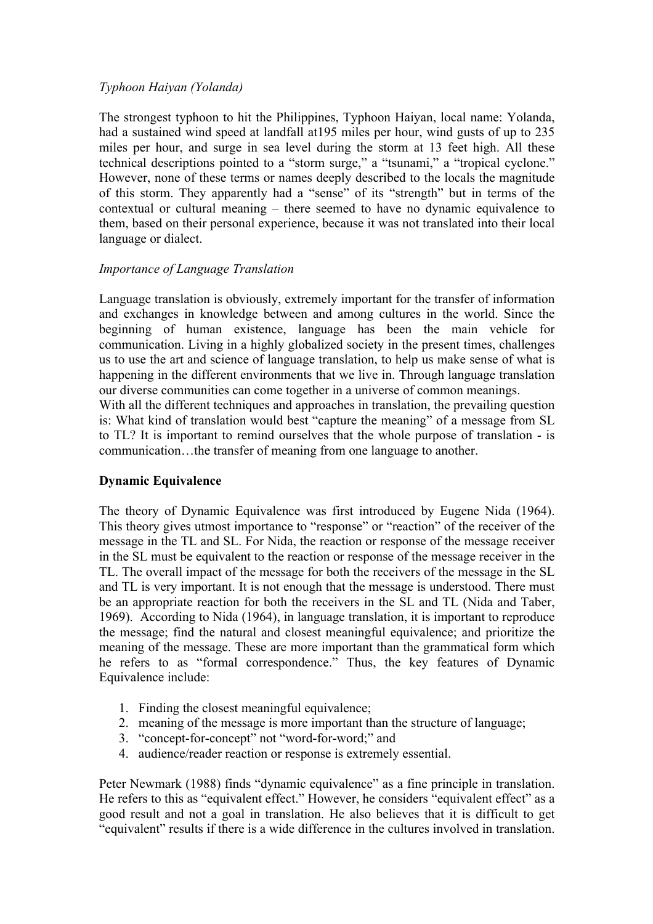## *Typhoon Haiyan (Yolanda)*

The strongest typhoon to hit the Philippines, Typhoon Haiyan, local name: Yolanda, had a sustained wind speed at landfall at195 miles per hour, wind gusts of up to 235 miles per hour, and surge in sea level during the storm at 13 feet high. All these technical descriptions pointed to a "storm surge," a "tsunami," a "tropical cyclone." However, none of these terms or names deeply described to the locals the magnitude of this storm. They apparently had a "sense" of its "strength" but in terms of the contextual or cultural meaning – there seemed to have no dynamic equivalence to them, based on their personal experience, because it was not translated into their local language or dialect.

#### *Importance of Language Translation*

Language translation is obviously, extremely important for the transfer of information and exchanges in knowledge between and among cultures in the world. Since the beginning of human existence, language has been the main vehicle for communication. Living in a highly globalized society in the present times, challenges us to use the art and science of language translation, to help us make sense of what is happening in the different environments that we live in. Through language translation our diverse communities can come together in a universe of common meanings.

With all the different techniques and approaches in translation, the prevailing question is: What kind of translation would best "capture the meaning" of a message from SL to TL? It is important to remind ourselves that the whole purpose of translation - is communication…the transfer of meaning from one language to another.

#### **Dynamic Equivalence**

The theory of Dynamic Equivalence was first introduced by Eugene Nida (1964). This theory gives utmost importance to "response" or "reaction" of the receiver of the message in the TL and SL. For Nida, the reaction or response of the message receiver in the SL must be equivalent to the reaction or response of the message receiver in the TL. The overall impact of the message for both the receivers of the message in the SL and TL is very important. It is not enough that the message is understood. There must be an appropriate reaction for both the receivers in the SL and TL (Nida and Taber, 1969). According to Nida (1964), in language translation, it is important to reproduce the message; find the natural and closest meaningful equivalence; and prioritize the meaning of the message. These are more important than the grammatical form which he refers to as "formal correspondence." Thus, the key features of Dynamic Equivalence include:

- 1. Finding the closest meaningful equivalence;
- 2. meaning of the message is more important than the structure of language;
- 3. "concept-for-concept" not "word-for-word;" and
- 4. audience/reader reaction or response is extremely essential.

Peter Newmark (1988) finds "dynamic equivalence" as a fine principle in translation. He refers to this as "equivalent effect." However, he considers "equivalent effect" as a good result and not a goal in translation. He also believes that it is difficult to get "equivalent" results if there is a wide difference in the cultures involved in translation.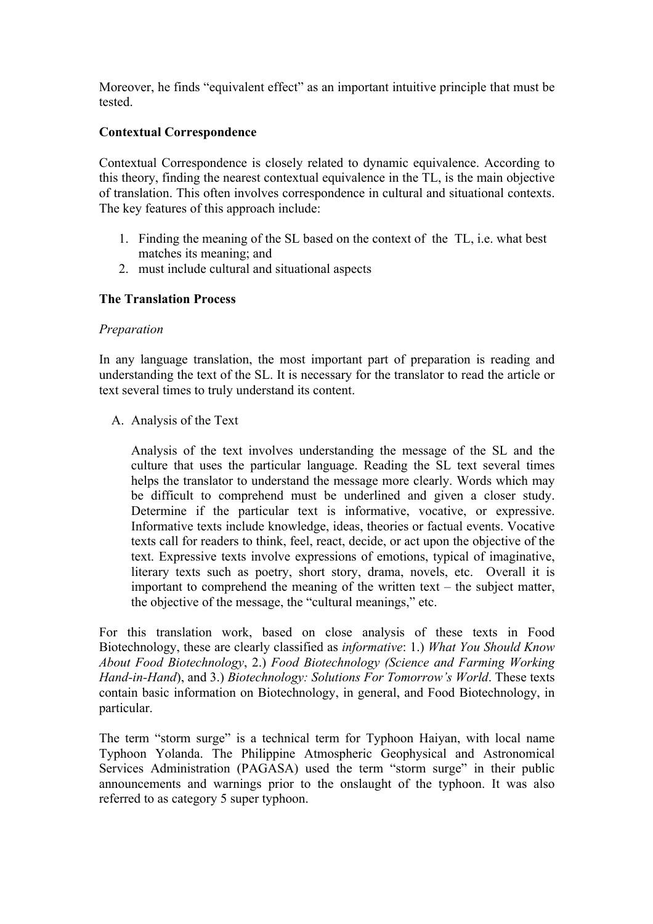Moreover, he finds "equivalent effect" as an important intuitive principle that must be tested.

## **Contextual Correspondence**

Contextual Correspondence is closely related to dynamic equivalence. According to this theory, finding the nearest contextual equivalence in the TL, is the main objective of translation. This often involves correspondence in cultural and situational contexts. The key features of this approach include:

- 1. Finding the meaning of the SL based on the context of the TL, i.e. what best matches its meaning; and
- 2. must include cultural and situational aspects

### **The Translation Process**

#### *Preparation*

In any language translation, the most important part of preparation is reading and understanding the text of the SL. It is necessary for the translator to read the article or text several times to truly understand its content.

A. Analysis of the Text

Analysis of the text involves understanding the message of the SL and the culture that uses the particular language. Reading the SL text several times helps the translator to understand the message more clearly. Words which may be difficult to comprehend must be underlined and given a closer study. Determine if the particular text is informative, vocative, or expressive. Informative texts include knowledge, ideas, theories or factual events. Vocative texts call for readers to think, feel, react, decide, or act upon the objective of the text. Expressive texts involve expressions of emotions, typical of imaginative, literary texts such as poetry, short story, drama, novels, etc. Overall it is important to comprehend the meaning of the written text – the subject matter, the objective of the message, the "cultural meanings," etc.

For this translation work, based on close analysis of these texts in Food Biotechnology, these are clearly classified as *informative*: 1.) *What You Should Know About Food Biotechnology*, 2.) *Food Biotechnology (Science and Farming Working Hand-in-Hand*), and 3.) *Biotechnology: Solutions For Tomorrow's World*. These texts contain basic information on Biotechnology, in general, and Food Biotechnology, in particular.

The term "storm surge" is a technical term for Typhoon Haiyan, with local name Typhoon Yolanda. The Philippine Atmospheric Geophysical and Astronomical Services Administration (PAGASA) used the term "storm surge" in their public announcements and warnings prior to the onslaught of the typhoon. It was also referred to as category 5 super typhoon.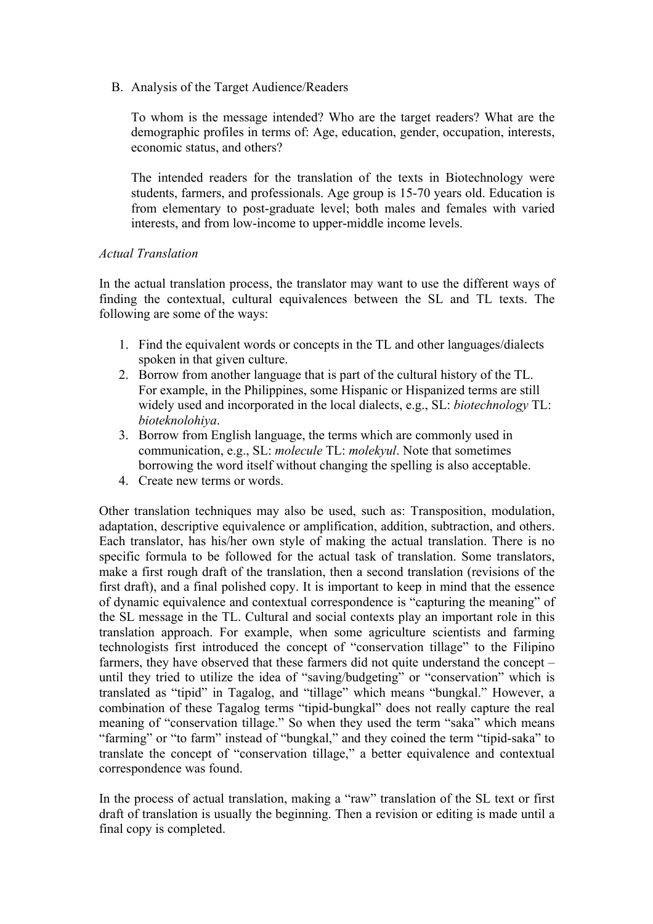B. Analysis of the Target Audience/Readers

To whom is the message intended? Who are the target readers? What are the demographic profiles in terms of: Age, education, gender, occupation, interests, economic status, and others?

The intended readers for the translation of the texts in Biotechnology were students, farmers, and professionals. Age group is 15-70 years old. Education is from elementary to post-graduate level; both males and females with varied interests, and from low-income to upper-middle income levels.

### *Actual Translation*

In the actual translation process, the translator may want to use the different ways of finding the contextual, cultural equivalences between the SL and TL texts. The following are some of the ways:

- 1. Find the equivalent words or concepts in the TL and other languages/dialects spoken in that given culture.
- 2. Borrow from another language that is part of the cultural history of the TL. For example, in the Philippines, some Hispanic or Hispanized terms are still widely used and incorporated in the local dialects, e.g., SL: *biotechnology* TL: *bioteknolohiya*.
- 3. Borrow from English language, the terms which are commonly used in communication, e.g., SL: *molecule* TL: *molekyul*. Note that sometimes borrowing the word itself without changing the spelling is also acceptable.
- 4. Create new terms or words.

Other translation techniques may also be used, such as: Transposition, modulation, adaptation, descriptive equivalence or amplification, addition, subtraction, and others. Each translator, has his/her own style of making the actual translation. There is no specific formula to be followed for the actual task of translation. Some translators, make a first rough draft of the translation, then a second translation (revisions of the first draft), and a final polished copy. It is important to keep in mind that the essence of dynamic equivalence and contextual correspondence is "capturing the meaning" of the SL message in the TL. Cultural and social contexts play an important role in this translation approach. For example, when some agriculture scientists and farming technologists first introduced the concept of "conservation tillage" to the Filipino farmers, they have observed that these farmers did not quite understand the concept – until they tried to utilize the idea of "saving/budgeting" or "conservation" which is translated as "tipid" in Tagalog, and "tillage" which means "bungkal." However, a combination of these Tagalog terms "tipid-bungkal" does not really capture the real meaning of "conservation tillage." So when they used the term "saka" which means "farming" or "to farm" instead of "bungkal," and they coined the term "tipid-saka" to translate the concept of "conservation tillage," a better equivalence and contextual correspondence was found.

In the process of actual translation, making a "raw" translation of the SL text or first draft of translation is usually the beginning. Then a revision or editing is made until a final copy is completed.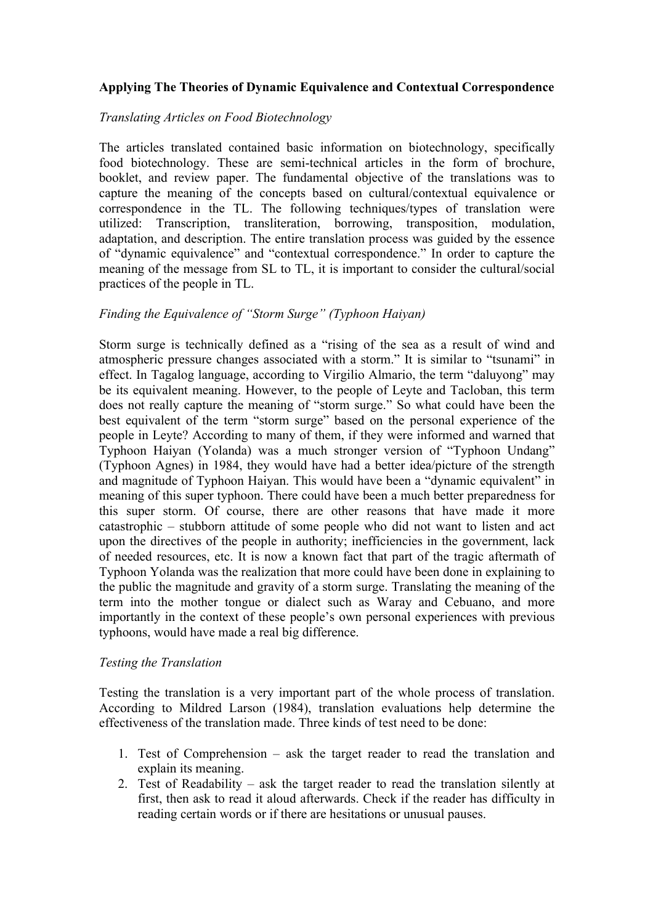## **Applying The Theories of Dynamic Equivalence and Contextual Correspondence**

#### *Translating Articles on Food Biotechnology*

The articles translated contained basic information on biotechnology, specifically food biotechnology. These are semi-technical articles in the form of brochure, booklet, and review paper. The fundamental objective of the translations was to capture the meaning of the concepts based on cultural/contextual equivalence or correspondence in the TL. The following techniques/types of translation were utilized: Transcription, transliteration, borrowing, transposition, modulation, adaptation, and description. The entire translation process was guided by the essence of "dynamic equivalence" and "contextual correspondence." In order to capture the meaning of the message from SL to TL, it is important to consider the cultural/social practices of the people in TL.

# *Finding the Equivalence of "Storm Surge" (Typhoon Haiyan)*

Storm surge is technically defined as a "rising of the sea as a result of wind and atmospheric pressure changes associated with a storm." It is similar to "tsunami" in effect. In Tagalog language, according to Virgilio Almario, the term "daluyong" may be its equivalent meaning. However, to the people of Leyte and Tacloban, this term does not really capture the meaning of "storm surge." So what could have been the best equivalent of the term "storm surge" based on the personal experience of the people in Leyte? According to many of them, if they were informed and warned that Typhoon Haiyan (Yolanda) was a much stronger version of "Typhoon Undang" (Typhoon Agnes) in 1984, they would have had a better idea/picture of the strength and magnitude of Typhoon Haiyan. This would have been a "dynamic equivalent" in meaning of this super typhoon. There could have been a much better preparedness for this super storm. Of course, there are other reasons that have made it more catastrophic – stubborn attitude of some people who did not want to listen and act upon the directives of the people in authority; inefficiencies in the government, lack of needed resources, etc. It is now a known fact that part of the tragic aftermath of Typhoon Yolanda was the realization that more could have been done in explaining to the public the magnitude and gravity of a storm surge. Translating the meaning of the term into the mother tongue or dialect such as Waray and Cebuano, and more importantly in the context of these people's own personal experiences with previous typhoons, would have made a real big difference.

#### *Testing the Translation*

Testing the translation is a very important part of the whole process of translation. According to Mildred Larson (1984), translation evaluations help determine the effectiveness of the translation made. Three kinds of test need to be done:

- 1. Test of Comprehension ask the target reader to read the translation and explain its meaning.
- 2. Test of Readability ask the target reader to read the translation silently at first, then ask to read it aloud afterwards. Check if the reader has difficulty in reading certain words or if there are hesitations or unusual pauses.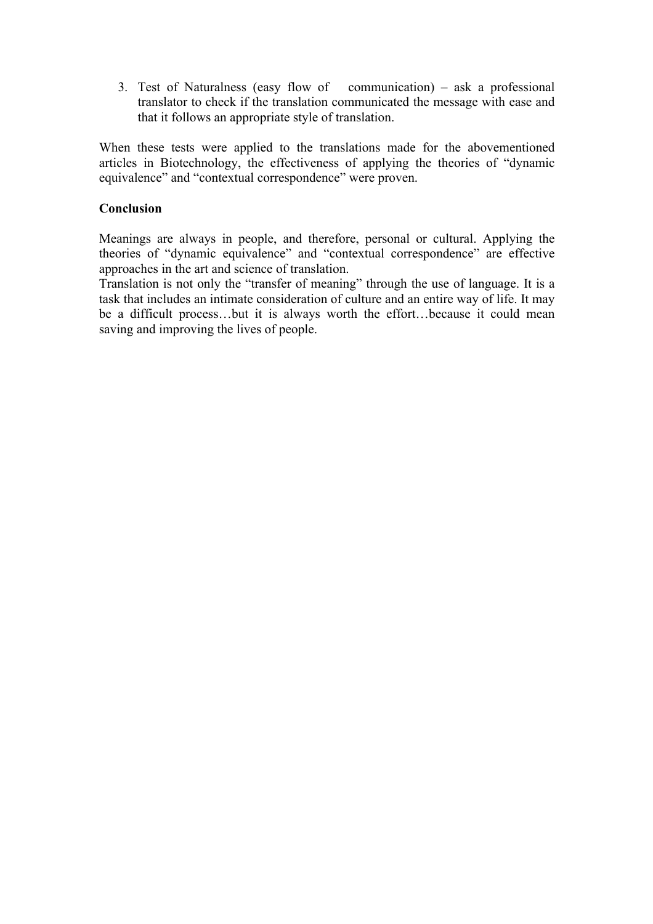3. Test of Naturalness (easy flow of communication) – ask a professional translator to check if the translation communicated the message with ease and that it follows an appropriate style of translation.

When these tests were applied to the translations made for the abovementioned articles in Biotechnology, the effectiveness of applying the theories of "dynamic equivalence" and "contextual correspondence" were proven.

### **Conclusion**

Meanings are always in people, and therefore, personal or cultural. Applying the theories of "dynamic equivalence" and "contextual correspondence" are effective approaches in the art and science of translation.

Translation is not only the "transfer of meaning" through the use of language. It is a task that includes an intimate consideration of culture and an entire way of life. It may be a difficult process…but it is always worth the effort…because it could mean saving and improving the lives of people.